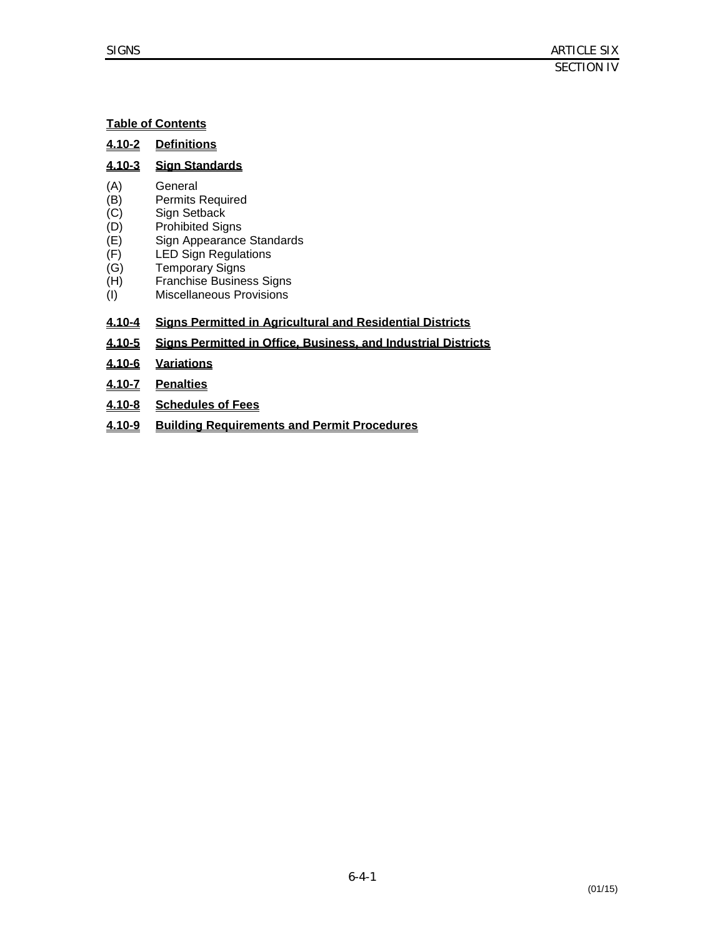# **Table of Contents**

#### **4.10-3 Sign Standards**

- (A) General
- (B) Permits Required
- (C) Sign Setback
- $(D)$ Prohibited Signs
- $(E)$ Sign Appearance Standards
- $(F)$ LED Sign Regulations
- $(G)$ Temporary Signs
- (H) Franchise Business Signs
- $(I)$ Miscellaneous Provisions

# **4.10-4 Signs Permitted in Agricultural and Residential Districts**

- **4.10-5 Signs Permitted in Office, Business, and Industrial Districts**
- **4.10-6 Variations**
- **4.10-7 Penalties**
- **4.10-8 Schedules of Fees**
- **4.10-9 Building Requirements and Permit Procedures**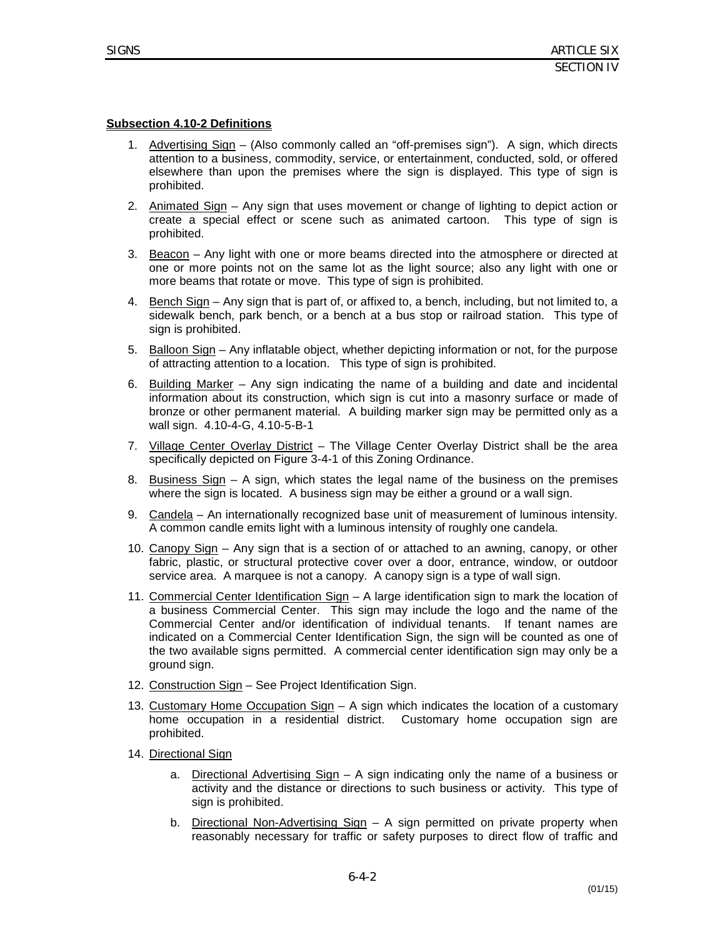#### **Subsection 4.10-2 Definitions**

- 1. Advertising Sign (Also commonly called an "off-premises sign"). A sign, which directs attention to a business, commodity, service, or entertainment, conducted, sold, or offered elsewhere than upon the premises where the sign is displayed. This type of sign is prohibited.
- 2. Animated Sign Any sign that uses movement or change of lighting to depict action or create a special effect or scene such as animated cartoon. This type of sign is prohibited.
- 3. Beacon Any light with one or more beams directed into the atmosphere or directed at one or more points not on the same lot as the light source; also any light with one or more beams that rotate or move. This type of sign is prohibited.
- 4. Bench Sign Any sign that is part of, or affixed to, a bench, including, but not limited to, a sidewalk bench, park bench, or a bench at a bus stop or railroad station. This type of sign is prohibited.
- 5. Balloon Sign Any inflatable object, whether depicting information or not, for the purpose of attracting attention to a location. This type of sign is prohibited.
- 6. Building Marker Any sign indicating the name of a building and date and incidental information about its construction, which sign is cut into a masonry surface or made of bronze or other permanent material. A building marker sign may be permitted only as a wall sign. 4.10-4-G, 4.10-5-B-1
- 7. Village Center Overlay District The Village Center Overlay District shall be the area specifically depicted on Figure 3-4-1 of this Zoning Ordinance.
- 8. Business Sign A sign, which states the legal name of the business on the premises where the sign is located. A business sign may be either a ground or a wall sign.
- 9. Candela An internationally recognized base unit of measurement of luminous intensity. A common candle emits light with a luminous intensity of roughly one candela.
- 10. Canopy Sign Any sign that is a section of or attached to an awning, canopy, or other fabric, plastic, or structural protective cover over a door, entrance, window, or outdoor service area. A marquee is not a canopy. A canopy sign is a type of wall sign.
- 11. Commercial Center Identification Sign A large identification sign to mark the location of a business Commercial Center. This sign may include the logo and the name of the Commercial Center and/or identification of individual tenants. If tenant names are indicated on a Commercial Center Identification Sign, the sign will be counted as one of the two available signs permitted. A commercial center identification sign may only be a ground sign.
- 12. Construction Sign See Project Identification Sign.
- 13. Customary Home Occupation Sign A sign which indicates the location of a customary home occupation in a residential district. Customary home occupation sign are prohibited.
- 14. Directional Sign
	- a. Directional Advertising Sign A sign indicating only the name of a business or activity and the distance or directions to such business or activity. This type of sign is prohibited.
	- b. Directional Non-Advertising Sign A sign permitted on private property when reasonably necessary for traffic or safety purposes to direct flow of traffic and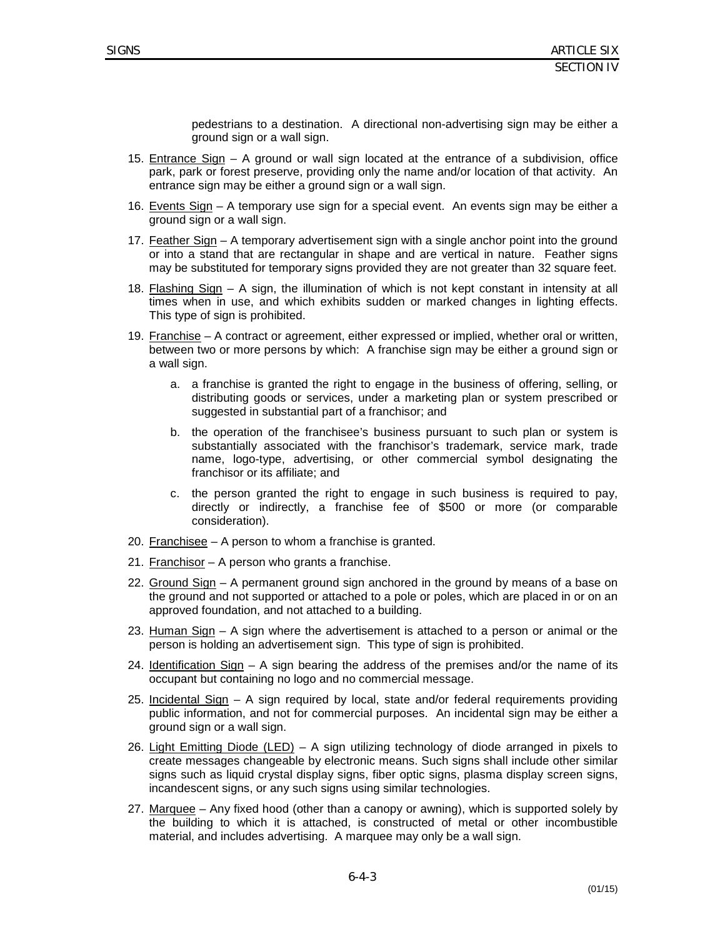pedestrians to a destination. A directional non-advertising sign may be either a ground sign or a wall sign.

- 15. Entrance Sign A ground or wall sign located at the entrance of a subdivision, office park, park or forest preserve, providing only the name and/or location of that activity. An entrance sign may be either a ground sign or a wall sign.
- 16. Events Sign A temporary use sign for a special event. An events sign may be either a ground sign or a wall sign.
- 17. Feather Sign A temporary advertisement sign with a single anchor point into the ground or into a stand that are rectangular in shape and are vertical in nature. Feather signs may be substituted for temporary signs provided they are not greater than 32 square feet.
- 18. Flashing Sign A sign, the illumination of which is not kept constant in intensity at all times when in use, and which exhibits sudden or marked changes in lighting effects. This type of sign is prohibited.
- 19. Franchise A contract or agreement, either expressed or implied, whether oral or written, between two or more persons by which: A franchise sign may be either a ground sign or a wall sign.
	- a. a franchise is granted the right to engage in the business of offering, selling, or distributing goods or services, under a marketing plan or system prescribed or suggested in substantial part of a franchisor; and
	- b. the operation of the franchisee's business pursuant to such plan or system is substantially associated with the franchisor's trademark, service mark, trade name, logo-type, advertising, or other commercial symbol designating the franchisor or its affiliate; and
	- c. the person granted the right to engage in such business is required to pay, directly or indirectly, a franchise fee of \$500 or more (or comparable consideration).
- 20. Franchisee A person to whom a franchise is granted.
- 21. Franchisor A person who grants a franchise.
- 22. Ground Sign A permanent ground sign anchored in the ground by means of a base on the ground and not supported or attached to a pole or poles, which are placed in or on an approved foundation, and not attached to a building.
- 23. Human Sign A sign where the advertisement is attached to a person or animal or the person is holding an advertisement sign. This type of sign is prohibited.
- 24. Identification Sign A sign bearing the address of the premises and/or the name of its occupant but containing no logo and no commercial message.
- 25. Incidental Sign A sign required by local, state and/or federal requirements providing public information, and not for commercial purposes. An incidental sign may be either a ground sign or a wall sign.
- 26. Light Emitting Diode (LED) A sign utilizing technology of diode arranged in pixels to create messages changeable by electronic means. Such signs shall include other similar signs such as liquid crystal display signs, fiber optic signs, plasma display screen signs, incandescent signs, or any such signs using similar technologies.
- 27. Marquee Any fixed hood (other than a canopy or awning), which is supported solely by the building to which it is attached, is constructed of metal or other incombustible material, and includes advertising. A marquee may only be a wall sign.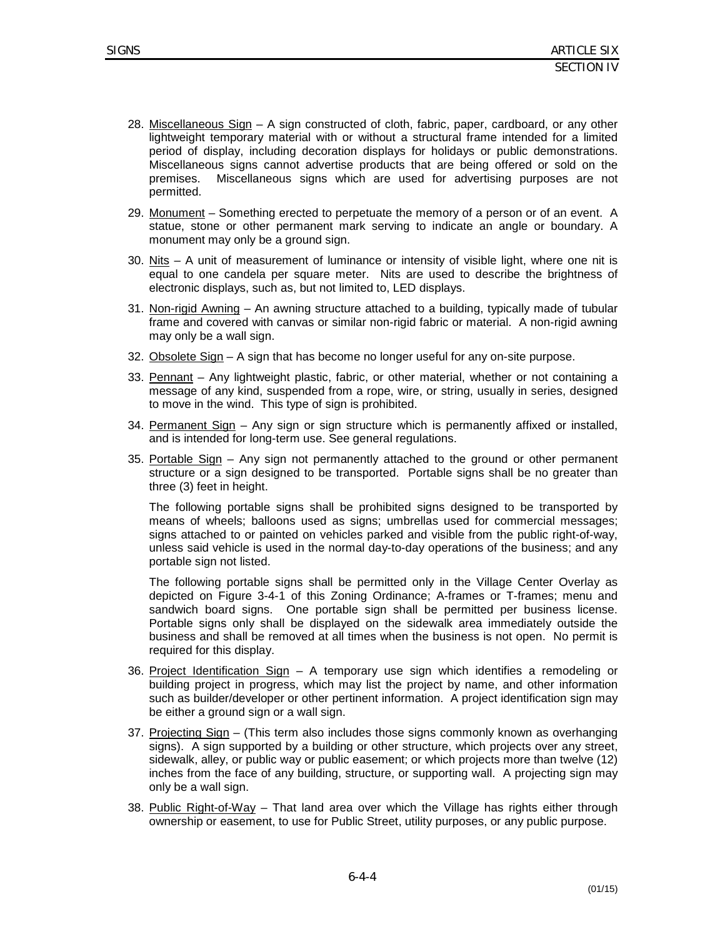- 28. Miscellaneous Sign A sign constructed of cloth, fabric, paper, cardboard, or any other lightweight temporary material with or without a structural frame intended for a limited period of display, including decoration displays for holidays or public demonstrations. Miscellaneous signs cannot advertise products that are being offered or sold on the premises. Miscellaneous signs which are used for advertising purposes are not permitted.
- 29. Monument Something erected to perpetuate the memory of a person or of an event. A statue, stone or other permanent mark serving to indicate an angle or boundary. A monument may only be a ground sign.
- 30. Nits  $A$  unit of measurement of luminance or intensity of visible light, where one nit is equal to one candela per square meter. Nits are used to describe the brightness of electronic displays, such as, but not limited to, LED displays.
- 31. Non-rigid Awning An awning structure attached to a building, typically made of tubular frame and covered with canvas or similar non-rigid fabric or material. A non-rigid awning may only be a wall sign.
- 32. Obsolete Sign A sign that has become no longer useful for any on-site purpose.
- 33. Pennant Any lightweight plastic, fabric, or other material, whether or not containing a message of any kind, suspended from a rope, wire, or string, usually in series, designed to move in the wind. This type of sign is prohibited.
- 34. Permanent Sign Any sign or sign structure which is permanently affixed or installed, and is intended for long-term use. See general regulations.
- 35. Portable Sign Any sign not permanently attached to the ground or other permanent structure or a sign designed to be transported. Portable signs shall be no greater than three (3) feet in height.

The following portable signs shall be prohibited signs designed to be transported by means of wheels; balloons used as signs; umbrellas used for commercial messages; signs attached to or painted on vehicles parked and visible from the public right-of-way, unless said vehicle is used in the normal day-to-day operations of the business; and any portable sign not listed.

The following portable signs shall be permitted only in the Village Center Overlay as depicted on Figure 3-4-1 of this Zoning Ordinance; A-frames or T-frames; menu and sandwich board signs. One portable sign shall be permitted per business license. Portable signs only shall be displayed on the sidewalk area immediately outside the business and shall be removed at all times when the business is not open. No permit is required for this display.

- 36. Project Identification Sign A temporary use sign which identifies a remodeling or building project in progress, which may list the project by name, and other information such as builder/developer or other pertinent information. A project identification sign may be either a ground sign or a wall sign.
- 37. Projecting Sign (This term also includes those signs commonly known as overhanging signs). A sign supported by a building or other structure, which projects over any street, sidewalk, alley, or public way or public easement; or which projects more than twelve (12) inches from the face of any building, structure, or supporting wall. A projecting sign may only be a wall sign.
- 38. Public Right-of-Way That land area over which the Village has rights either through ownership or easement, to use for Public Street, utility purposes, or any public purpose.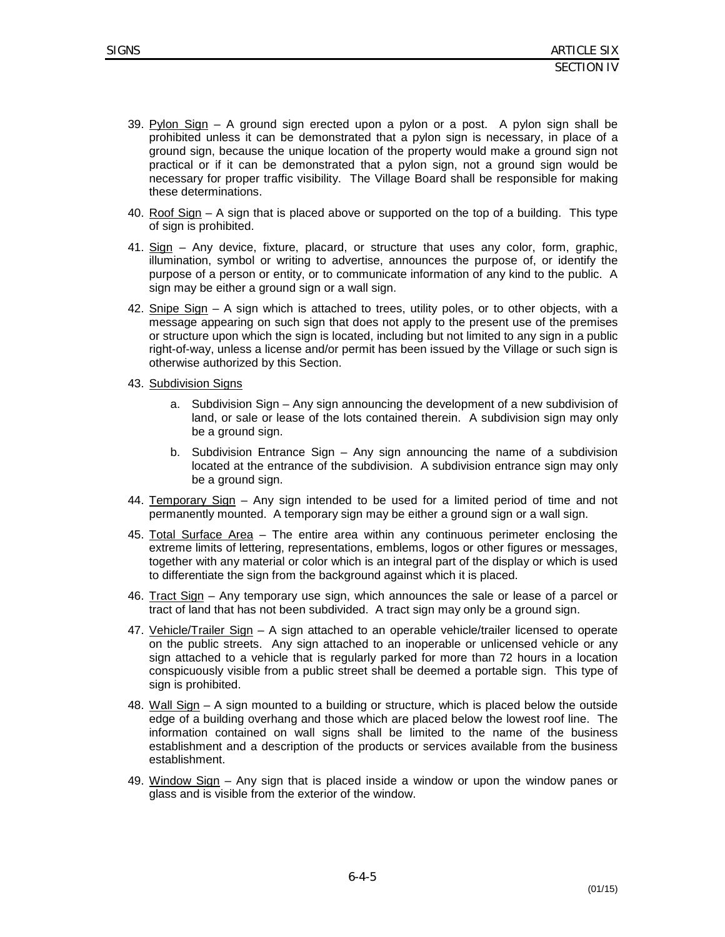- 39. Pylon Sign  $-$  A ground sign erected upon a pylon or a post. A pylon sign shall be prohibited unless it can be demonstrated that a pylon sign is necessary, in place of a ground sign, because the unique location of the property would make a ground sign not practical or if it can be demonstrated that a pylon sign, not a ground sign would be necessary for proper traffic visibility. The Village Board shall be responsible for making these determinations.
- 40. Roof Sign A sign that is placed above or supported on the top of a building. This type of sign is prohibited.
- 41. Sign Any device, fixture, placard, or structure that uses any color, form, graphic, illumination, symbol or writing to advertise, announces the purpose of, or identify the purpose of a person or entity, or to communicate information of any kind to the public. A sign may be either a ground sign or a wall sign.
- 42. Snipe Sign A sign which is attached to trees, utility poles, or to other objects, with a message appearing on such sign that does not apply to the present use of the premises or structure upon which the sign is located, including but not limited to any sign in a public right-of-way, unless a license and/or permit has been issued by the Village or such sign is otherwise authorized by this Section.
- 43. Subdivision Signs
	- a. Subdivision Sign Any sign announcing the development of a new subdivision of land, or sale or lease of the lots contained therein. A subdivision sign may only be a ground sign.
	- b. Subdivision Entrance Sign Any sign announcing the name of a subdivision located at the entrance of the subdivision. A subdivision entrance sign may only be a ground sign.
- 44. Temporary Sign Any sign intended to be used for a limited period of time and not permanently mounted. A temporary sign may be either a ground sign or a wall sign.
- 45. Total Surface Area The entire area within any continuous perimeter enclosing the extreme limits of lettering, representations, emblems, logos or other figures or messages, together with any material or color which is an integral part of the display or which is used to differentiate the sign from the background against which it is placed.
- 46. Tract Sign Any temporary use sign, which announces the sale or lease of a parcel or tract of land that has not been subdivided. A tract sign may only be a ground sign.
- 47. Vehicle/Trailer Sign A sign attached to an operable vehicle/trailer licensed to operate on the public streets. Any sign attached to an inoperable or unlicensed vehicle or any sign attached to a vehicle that is regularly parked for more than 72 hours in a location conspicuously visible from a public street shall be deemed a portable sign. This type of sign is prohibited.
- 48. Wall Sign A sign mounted to a building or structure, which is placed below the outside edge of a building overhang and those which are placed below the lowest roof line. The information contained on wall signs shall be limited to the name of the business establishment and a description of the products or services available from the business establishment.
- 49. Window Sign Any sign that is placed inside a window or upon the window panes or glass and is visible from the exterior of the window.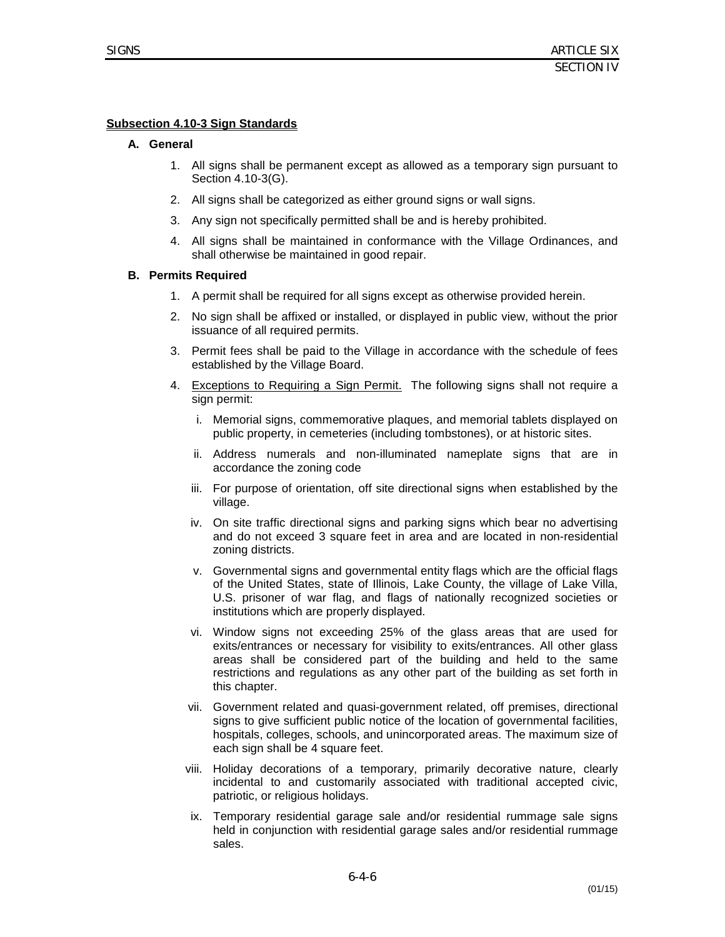# **Subsection 4.10-3 Sign Standards**

#### **A. General**

- 1. All signs shall be permanent except as allowed as a temporary sign pursuant to Section 4.10-3(G).
- 2. All signs shall be categorized as either ground signs or wall signs.
- 3. Any sign not specifically permitted shall be and is hereby prohibited.
- 4. All signs shall be maintained in conformance with the Village Ordinances, and shall otherwise be maintained in good repair.

#### **B. Permits Required**

- 1. A permit shall be required for all signs except as otherwise provided herein.
- 2. No sign shall be affixed or installed, or displayed in public view, without the prior issuance of all required permits.
- 3. Permit fees shall be paid to the Village in accordance with the schedule of fees established by the Village Board.
- 4. Exceptions to Requiring a Sign Permit.The following signs shall not require a sign permit:
	- i. Memorial signs, commemorative plaques, and memorial tablets displayed on public property, in cemeteries (including tombstones), or at historic sites.
	- ii. Address numerals and non-illuminated nameplate signs that are in accordance the zoning code
	- iii. For purpose of orientation, off site directional signs when established by the village.
	- iv. On site traffic directional signs and parking signs which bear no advertising and do not exceed 3 square feet in area and are located in non-residential zoning districts.
	- v. Governmental signs and governmental entity flags which are the official flags of the United States, state of Illinois, Lake County, the village of Lake Villa, U.S. prisoner of war flag, and flags of nationally recognized societies or institutions which are properly displayed.
	- vi. Window signs not exceeding 25% of the glass areas that are used for exits/entrances or necessary for visibility to exits/entrances. All other glass areas shall be considered part of the building and held to the same restrictions and regulations as any other part of the building as set forth in this chapter.
	- vii. Government related and quasi-government related, off premises, directional signs to give sufficient public notice of the location of governmental facilities, hospitals, colleges, schools, and unincorporated areas. The maximum size of each sign shall be 4 square feet.
	- viii. Holiday decorations of a temporary, primarily decorative nature, clearly incidental to and customarily associated with traditional accepted civic, patriotic, or religious holidays.
	- ix. Temporary residential garage sale and/or residential rummage sale signs held in conjunction with residential garage sales and/or residential rummage sales.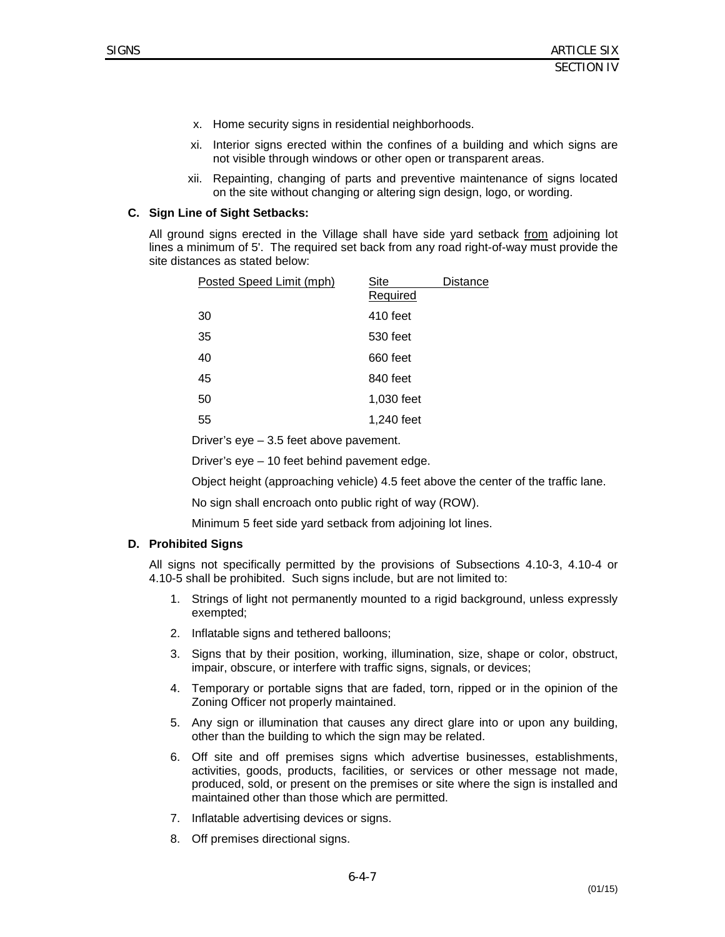- x. Home security signs in residential neighborhoods.
- xi. Interior signs erected within the confines of a building and which signs are not visible through windows or other open or transparent areas.
- xii. Repainting, changing of parts and preventive maintenance of signs located on the site without changing or altering sign design, logo, or wording.

#### **C. Sign Line of Sight Setbacks:**

All ground signs erected in the Village shall have side yard setback from adjoining lot lines a minimum of 5'. The required set back from any road right-of-way must provide the site distances as stated below:

| Posted Speed Limit (mph) | Site       | <b>Distance</b> |
|--------------------------|------------|-----------------|
|                          | Required   |                 |
| 30                       | 410 feet   |                 |
| 35                       | 530 feet   |                 |
| 40                       | 660 feet   |                 |
| 45                       | 840 feet   |                 |
| 50                       | 1,030 feet |                 |
| 55                       | 1,240 feet |                 |

Driver's eye – 3.5 feet above pavement.

Driver's eye – 10 feet behind pavement edge.

Object height (approaching vehicle) 4.5 feet above the center of the traffic lane.

No sign shall encroach onto public right of way (ROW).

Minimum 5 feet side yard setback from adjoining lot lines.

#### **D. Prohibited Signs**

All signs not specifically permitted by the provisions of Subsections 4.10-3, 4.10-4 or 4.10-5 shall be prohibited. Such signs include, but are not limited to:

- 1. Strings of light not permanently mounted to a rigid background, unless expressly exempted;
- 2. Inflatable signs and tethered balloons;
- 3. Signs that by their position, working, illumination, size, shape or color, obstruct, impair, obscure, or interfere with traffic signs, signals, or devices;
- 4. Temporary or portable signs that are faded, torn, ripped or in the opinion of the Zoning Officer not properly maintained.
- 5. Any sign or illumination that causes any direct glare into or upon any building, other than the building to which the sign may be related.
- 6. Off site and off premises signs which advertise businesses, establishments, activities, goods, products, facilities, or services or other message not made, produced, sold, or present on the premises or site where the sign is installed and maintained other than those which are permitted.
- 7. Inflatable advertising devices or signs.
- 8. Off premises directional signs.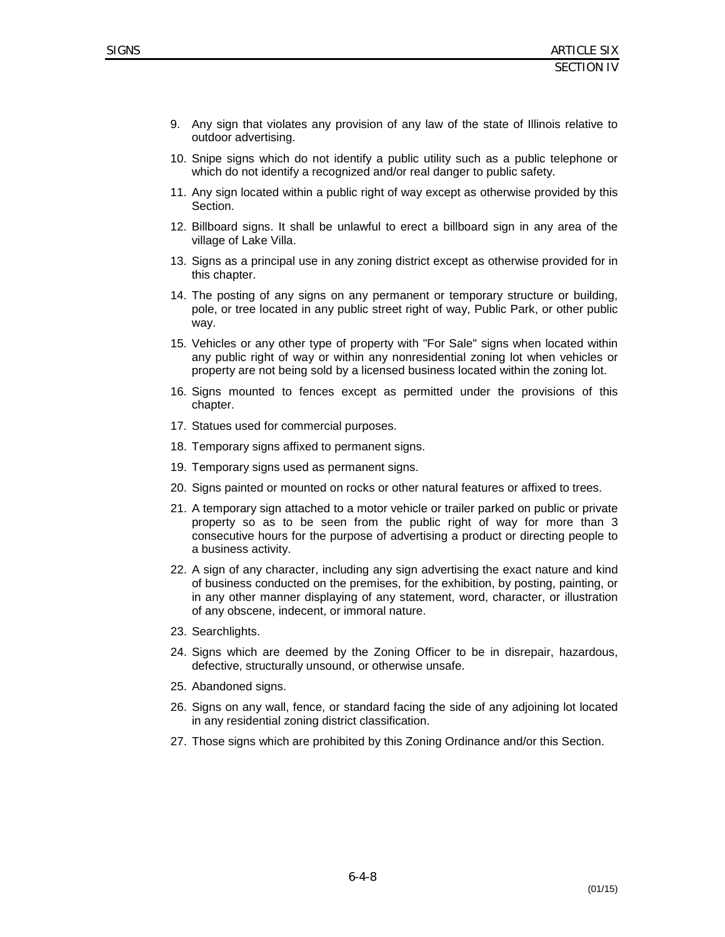- 9. Any sign that violates any provision of any law of the state of Illinois relative to outdoor advertising.
- 10. Snipe signs which do not identify a public utility such as a public telephone or which do not identify a recognized and/or real danger to public safety.
- 11. Any sign located within a public right of way except as otherwise provided by this Section.
- 12. Billboard signs. It shall be unlawful to erect a billboard sign in any area of the village of Lake Villa.
- 13. Signs as a principal use in any zoning district except as otherwise provided for in this chapter.
- 14. The posting of any signs on any permanent or temporary structure or building, pole, or tree located in any public street right of way, Public Park, or other public way.
- 15. Vehicles or any other type of property with "For Sale" signs when located within any public right of way or within any nonresidential zoning lot when vehicles or property are not being sold by a licensed business located within the zoning lot.
- 16. Signs mounted to fences except as permitted under the provisions of this chapter.
- 17. Statues used for commercial purposes.
- 18. Temporary signs affixed to permanent signs.
- 19. Temporary signs used as permanent signs.
- 20. Signs painted or mounted on rocks or other natural features or affixed to trees.
- 21. A temporary sign attached to a motor vehicle or trailer parked on public or private property so as to be seen from the public right of way for more than 3 consecutive hours for the purpose of advertising a product or directing people to a business activity.
- 22. A sign of any character, including any sign advertising the exact nature and kind of business conducted on the premises, for the exhibition, by posting, painting, or in any other manner displaying of any statement, word, character, or illustration of any obscene, indecent, or immoral nature.
- 23. Searchlights.
- 24. Signs which are deemed by the Zoning Officer to be in disrepair, hazardous, defective, structurally unsound, or otherwise unsafe.
- 25. Abandoned signs.
- 26. Signs on any wall, fence, or standard facing the side of any adjoining lot located in any residential zoning district classification.
- 27. Those signs which are prohibited by this Zoning Ordinance and/or this Section.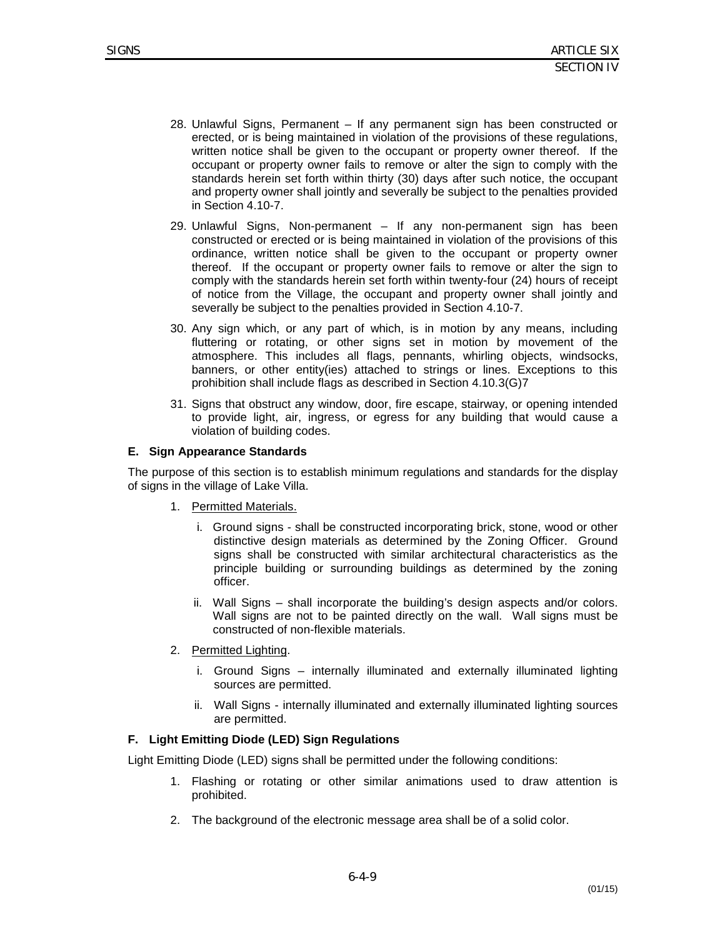- 28. Unlawful Signs, Permanent If any permanent sign has been constructed or erected, or is being maintained in violation of the provisions of these regulations, written notice shall be given to the occupant or property owner thereof. If the occupant or property owner fails to remove or alter the sign to comply with the standards herein set forth within thirty (30) days after such notice, the occupant and property owner shall jointly and severally be subject to the penalties provided in Section 4.10-7.
- 29. Unlawful Signs, Non-permanent If any non-permanent sign has been constructed or erected or is being maintained in violation of the provisions of this ordinance, written notice shall be given to the occupant or property owner thereof. If the occupant or property owner fails to remove or alter the sign to comply with the standards herein set forth within twenty-four (24) hours of receipt of notice from the Village, the occupant and property owner shall jointly and severally be subject to the penalties provided in Section 4.10-7.
- 30. Any sign which, or any part of which, is in motion by any means, including fluttering or rotating, or other signs set in motion by movement of the atmosphere. This includes all flags, pennants, whirling objects, windsocks, banners, or other entity(ies) attached to strings or lines. Exceptions to this prohibition shall include flags as described in Section 4.10.3(G)7
- 31. Signs that obstruct any window, door, fire escape, stairway, or opening intended to provide light, air, ingress, or egress for any building that would cause a violation of building codes.

#### **E. Sign Appearance Standards**

The purpose of this section is to establish minimum regulations and standards for the display of signs in the village of Lake Villa.

- 1. Permitted Materials.
	- i. Ground signs shall be constructed incorporating brick, stone, wood or other distinctive design materials as determined by the Zoning Officer. Ground signs shall be constructed with similar architectural characteristics as the principle building or surrounding buildings as determined by the zoning officer.
	- ii. Wall Signs shall incorporate the building's design aspects and/or colors. Wall signs are not to be painted directly on the wall. Wall signs must be constructed of non-flexible materials.
- 2. Permitted Lighting.
	- i. Ground Signs internally illuminated and externally illuminated lighting sources are permitted.
	- ii. Wall Signs internally illuminated and externally illuminated lighting sources are permitted.

#### **F. Light Emitting Diode (LED) Sign Regulations**

Light Emitting Diode (LED) signs shall be permitted under the following conditions:

- 1. Flashing or rotating or other similar animations used to draw attention is prohibited.
- 2. The background of the electronic message area shall be of a solid color.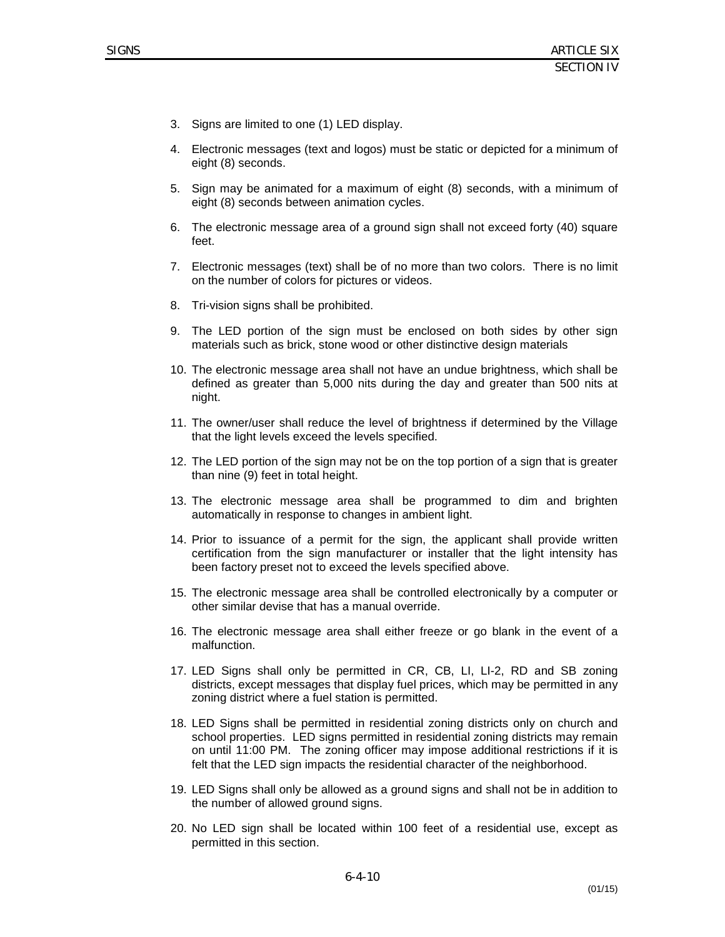- 3. Signs are limited to one (1) LED display.
- 4. Electronic messages (text and logos) must be static or depicted for a minimum of eight (8) seconds.
- 5. Sign may be animated for a maximum of eight (8) seconds, with a minimum of eight (8) seconds between animation cycles.
- 6. The electronic message area of a ground sign shall not exceed forty (40) square feet.
- 7. Electronic messages (text) shall be of no more than two colors. There is no limit on the number of colors for pictures or videos.
- 8. Tri-vision signs shall be prohibited.
- 9. The LED portion of the sign must be enclosed on both sides by other sign materials such as brick, stone wood or other distinctive design materials
- 10. The electronic message area shall not have an undue brightness, which shall be defined as greater than 5,000 nits during the day and greater than 500 nits at night.
- 11. The owner/user shall reduce the level of brightness if determined by the Village that the light levels exceed the levels specified.
- 12. The LED portion of the sign may not be on the top portion of a sign that is greater than nine (9) feet in total height.
- 13. The electronic message area shall be programmed to dim and brighten automatically in response to changes in ambient light.
- 14. Prior to issuance of a permit for the sign, the applicant shall provide written certification from the sign manufacturer or installer that the light intensity has been factory preset not to exceed the levels specified above.
- 15. The electronic message area shall be controlled electronically by a computer or other similar devise that has a manual override.
- 16. The electronic message area shall either freeze or go blank in the event of a malfunction.
- 17. LED Signs shall only be permitted in CR, CB, LI, LI-2, RD and SB zoning districts, except messages that display fuel prices, which may be permitted in any zoning district where a fuel station is permitted.
- 18. LED Signs shall be permitted in residential zoning districts only on church and school properties. LED signs permitted in residential zoning districts may remain on until 11:00 PM. The zoning officer may impose additional restrictions if it is felt that the LED sign impacts the residential character of the neighborhood.
- 19. LED Signs shall only be allowed as a ground signs and shall not be in addition to the number of allowed ground signs.
- 20. No LED sign shall be located within 100 feet of a residential use, except as permitted in this section.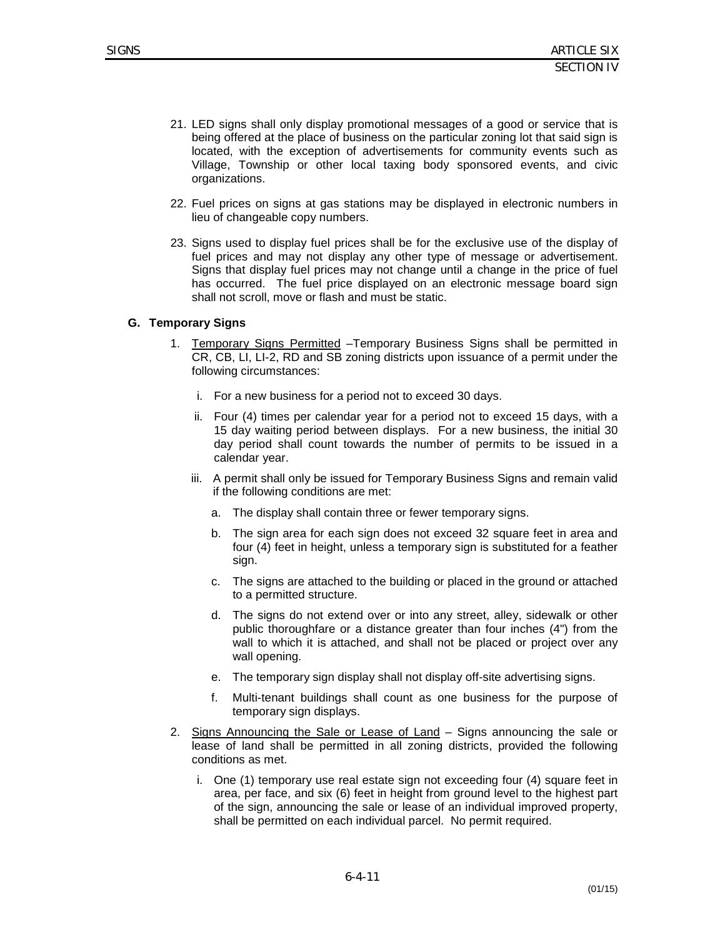- 21. LED signs shall only display promotional messages of a good or service that is being offered at the place of business on the particular zoning lot that said sign is located, with the exception of advertisements for community events such as Village, Township or other local taxing body sponsored events, and civic organizations.
- 22. Fuel prices on signs at gas stations may be displayed in electronic numbers in lieu of changeable copy numbers.
- 23. Signs used to display fuel prices shall be for the exclusive use of the display of fuel prices and may not display any other type of message or advertisement. Signs that display fuel prices may not change until a change in the price of fuel has occurred. The fuel price displayed on an electronic message board sign shall not scroll, move or flash and must be static.

#### **G. Temporary Signs**

- 1. Temporary Signs Permitted Temporary Business Signs shall be permitted in CR, CB, LI, LI-2, RD and SB zoning districts upon issuance of a permit under the following circumstances:
	- i. For a new business for a period not to exceed 30 days.
	- ii. Four (4) times per calendar year for a period not to exceed 15 days, with a 15 day waiting period between displays. For a new business, the initial 30 day period shall count towards the number of permits to be issued in a calendar year.
	- iii. A permit shall only be issued for Temporary Business Signs and remain valid if the following conditions are met:
		- a. The display shall contain three or fewer temporary signs.
		- b. The sign area for each sign does not exceed 32 square feet in area and four (4) feet in height, unless a temporary sign is substituted for a feather sign.
		- c. The signs are attached to the building or placed in the ground or attached to a permitted structure.
		- d. The signs do not extend over or into any street, alley, sidewalk or other public thoroughfare or a distance greater than four inches (4") from the wall to which it is attached, and shall not be placed or project over any wall opening.
		- e. The temporary sign display shall not display off-site advertising signs.
		- f. Multi-tenant buildings shall count as one business for the purpose of temporary sign displays.
- 2. Signs Announcing the Sale or Lease of Land Signs announcing the sale or lease of land shall be permitted in all zoning districts, provided the following conditions as met.
	- i. One (1) temporary use real estate sign not exceeding four (4) square feet in area, per face, and six (6) feet in height from ground level to the highest part of the sign, announcing the sale or lease of an individual improved property, shall be permitted on each individual parcel. No permit required.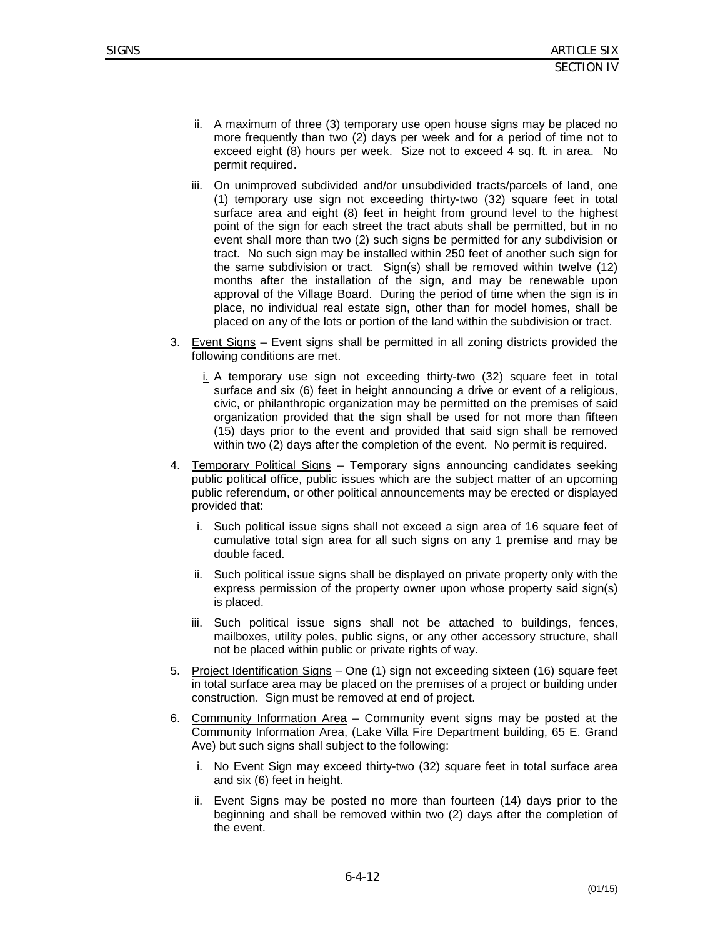- ii. A maximum of three (3) temporary use open house signs may be placed no more frequently than two (2) days per week and for a period of time not to exceed eight (8) hours per week. Size not to exceed 4 sq. ft. in area. No permit required.
- iii. On unimproved subdivided and/or unsubdivided tracts/parcels of land, one (1) temporary use sign not exceeding thirty-two (32) square feet in total surface area and eight (8) feet in height from ground level to the highest point of the sign for each street the tract abuts shall be permitted, but in no event shall more than two (2) such signs be permitted for any subdivision or tract. No such sign may be installed within 250 feet of another such sign for the same subdivision or tract. Sign(s) shall be removed within twelve (12) months after the installation of the sign, and may be renewable upon approval of the Village Board. During the period of time when the sign is in place, no individual real estate sign, other than for model homes, shall be placed on any of the lots or portion of the land within the subdivision or tract.
- 3. Event Signs Event signs shall be permitted in all zoning districts provided the following conditions are met.
	- i. A temporary use sign not exceeding thirty-two (32) square feet in total surface and six (6) feet in height announcing a drive or event of a religious, civic, or philanthropic organization may be permitted on the premises of said organization provided that the sign shall be used for not more than fifteen (15) days prior to the event and provided that said sign shall be removed within two (2) days after the completion of the event. No permit is required.
- 4. Temporary Political Signs Temporary signs announcing candidates seeking public political office, public issues which are the subject matter of an upcoming public referendum, or other political announcements may be erected or displayed provided that:
	- i. Such political issue signs shall not exceed a sign area of 16 square feet of cumulative total sign area for all such signs on any 1 premise and may be double faced.
	- ii. Such political issue signs shall be displayed on private property only with the express permission of the property owner upon whose property said sign(s) is placed.
	- iii. Such political issue signs shall not be attached to buildings, fences, mailboxes, utility poles, public signs, or any other accessory structure, shall not be placed within public or private rights of way.
- 5. Project Identification Signs One (1) sign not exceeding sixteen (16) square feet in total surface area may be placed on the premises of a project or building under construction. Sign must be removed at end of project.
- 6. Community Information Area Community event signs may be posted at the Community Information Area, (Lake Villa Fire Department building, 65 E. Grand Ave) but such signs shall subject to the following:
	- i. No Event Sign may exceed thirty-two (32) square feet in total surface area and six (6) feet in height.
	- ii. Event Signs may be posted no more than fourteen (14) days prior to the beginning and shall be removed within two (2) days after the completion of the event.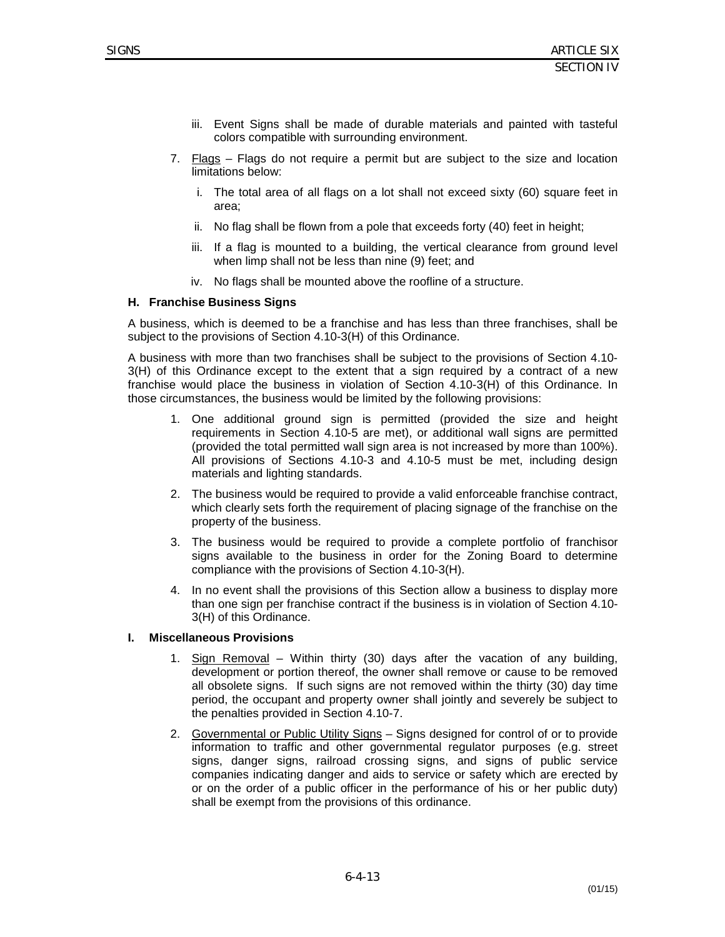- iii. Event Signs shall be made of durable materials and painted with tasteful colors compatible with surrounding environment.
- 7. Flags Flags do not require a permit but are subject to the size and location limitations below:
	- i. The total area of all flags on a lot shall not exceed sixty (60) square feet in area;
	- ii. No flag shall be flown from a pole that exceeds forty (40) feet in height;
	- iii. If a flag is mounted to a building, the vertical clearance from ground level when limp shall not be less than nine (9) feet; and
	- iv. No flags shall be mounted above the roofline of a structure.

#### **H. Franchise Business Signs**

A business, which is deemed to be a franchise and has less than three franchises, shall be subject to the provisions of Section 4.10-3(H) of this Ordinance.

A business with more than two franchises shall be subject to the provisions of Section 4.10- 3(H) of this Ordinance except to the extent that a sign required by a contract of a new franchise would place the business in violation of Section 4.10-3(H) of this Ordinance. In those circumstances, the business would be limited by the following provisions:

- 1. One additional ground sign is permitted (provided the size and height requirements in Section 4.10-5 are met), or additional wall signs are permitted (provided the total permitted wall sign area is not increased by more than 100%). All provisions of Sections 4.10-3 and 4.10-5 must be met, including design materials and lighting standards.
- 2. The business would be required to provide a valid enforceable franchise contract, which clearly sets forth the requirement of placing signage of the franchise on the property of the business.
- 3. The business would be required to provide a complete portfolio of franchisor signs available to the business in order for the Zoning Board to determine compliance with the provisions of Section 4.10-3(H).
- 4. In no event shall the provisions of this Section allow a business to display more than one sign per franchise contract if the business is in violation of Section 4.10- 3(H) of this Ordinance.

#### **I. Miscellaneous Provisions**

- Sign Removal Within thirty (30) days after the vacation of any building, development or portion thereof, the owner shall remove or cause to be removed all obsolete signs. If such signs are not removed within the thirty (30) day time period, the occupant and property owner shall jointly and severely be subject to the penalties provided in Section 4.10-7.
- 2. Governmental or Public Utility Signs Signs designed for control of or to provide information to traffic and other governmental regulator purposes (e.g. street signs, danger signs, railroad crossing signs, and signs of public service companies indicating danger and aids to service or safety which are erected by or on the order of a public officer in the performance of his or her public duty) shall be exempt from the provisions of this ordinance.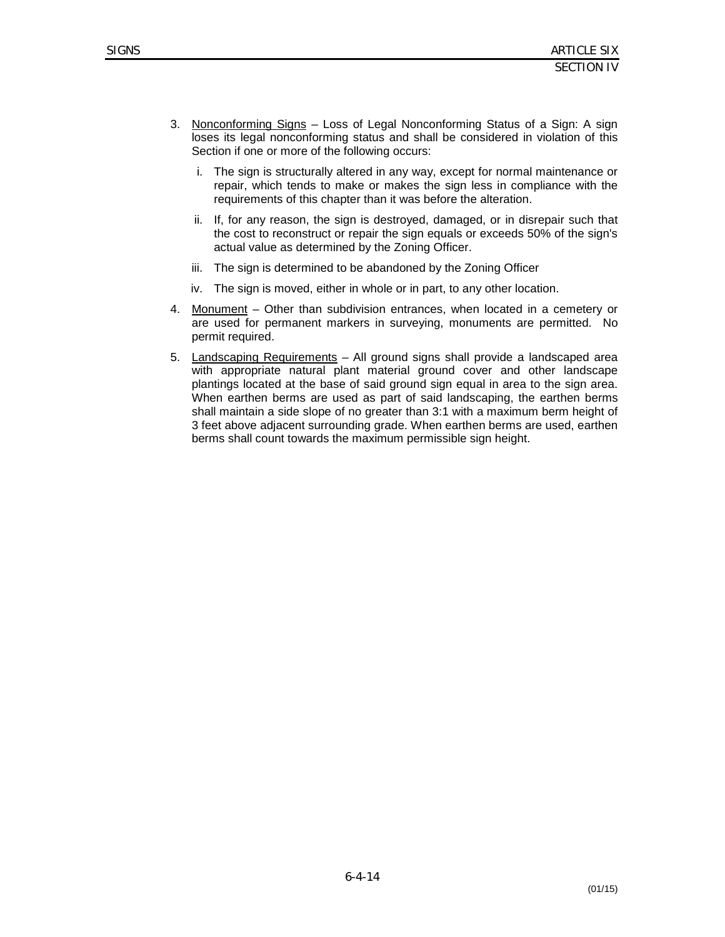- 3. Nonconforming Signs Loss of Legal Nonconforming Status of a Sign: A sign loses its legal nonconforming status and shall be considered in violation of this Section if one or more of the following occurs:
	- i. The sign is structurally altered in any way, except for normal maintenance or repair, which tends to make or makes the sign less in compliance with the requirements of this chapter than it was before the alteration.
	- ii. If, for any reason, the sign is destroyed, damaged, or in disrepair such that the cost to reconstruct or repair the sign equals or exceeds 50% of the sign's actual value as determined by the Zoning Officer.
	- iii. The sign is determined to be abandoned by the Zoning Officer
	- iv. The sign is moved, either in whole or in part, to any other location.
- 4. Monument Other than subdivision entrances, when located in a cemetery or are used for permanent markers in surveying, monuments are permitted. No permit required.
- 5. Landscaping Requirements All ground signs shall provide a landscaped area with appropriate natural plant material ground cover and other landscape plantings located at the base of said ground sign equal in area to the sign area. When earthen berms are used as part of said landscaping, the earthen berms shall maintain a side slope of no greater than 3:1 with a maximum berm height of 3 feet above adjacent surrounding grade. When earthen berms are used, earthen berms shall count towards the maximum permissible sign height.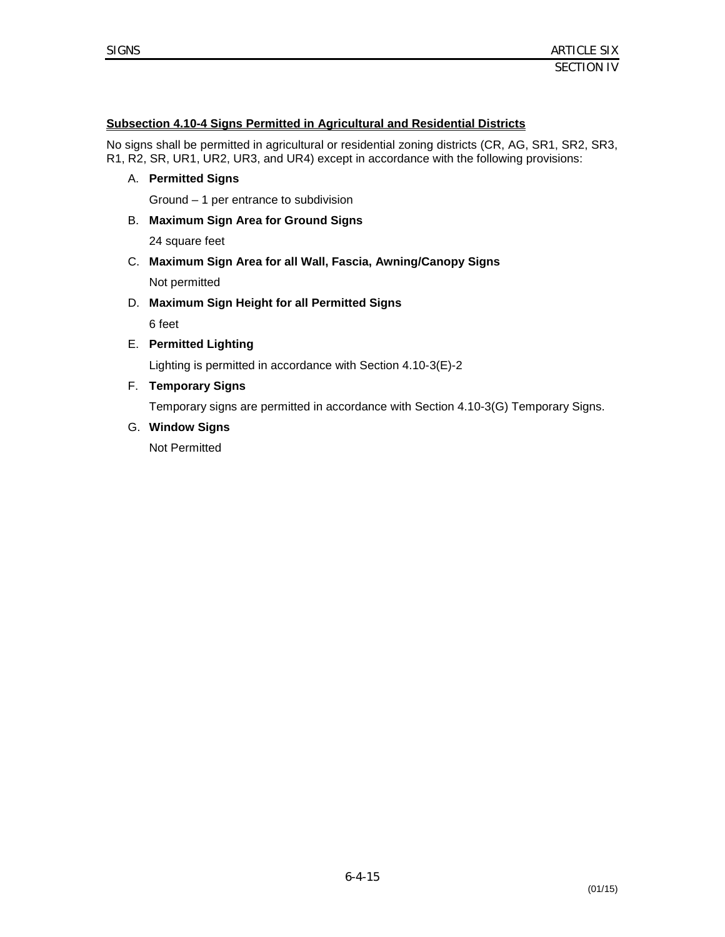## **Subsection 4.10-4 Signs Permitted in Agricultural and Residential Districts**

No signs shall be permitted in agricultural or residential zoning districts (CR, AG, SR1, SR2, SR3, R1, R2, SR, UR1, UR2, UR3, and UR4) except in accordance with the following provisions:

A. **Permitted Signs**

Ground – 1 per entrance to subdivision

B. **Maximum Sign Area for Ground Signs**

24 square feet

- C. **Maximum Sign Area for all Wall, Fascia, Awning/Canopy Signs** Not permitted
- D. **Maximum Sign Height for all Permitted Signs**

6 feet

E. **Permitted Lighting**

Lighting is permitted in accordance with Section 4.10-3(E)-2

F. **Temporary Signs**

Temporary signs are permitted in accordance with Section 4.10-3(G) Temporary Signs.

G. **Window Signs**

Not Permitted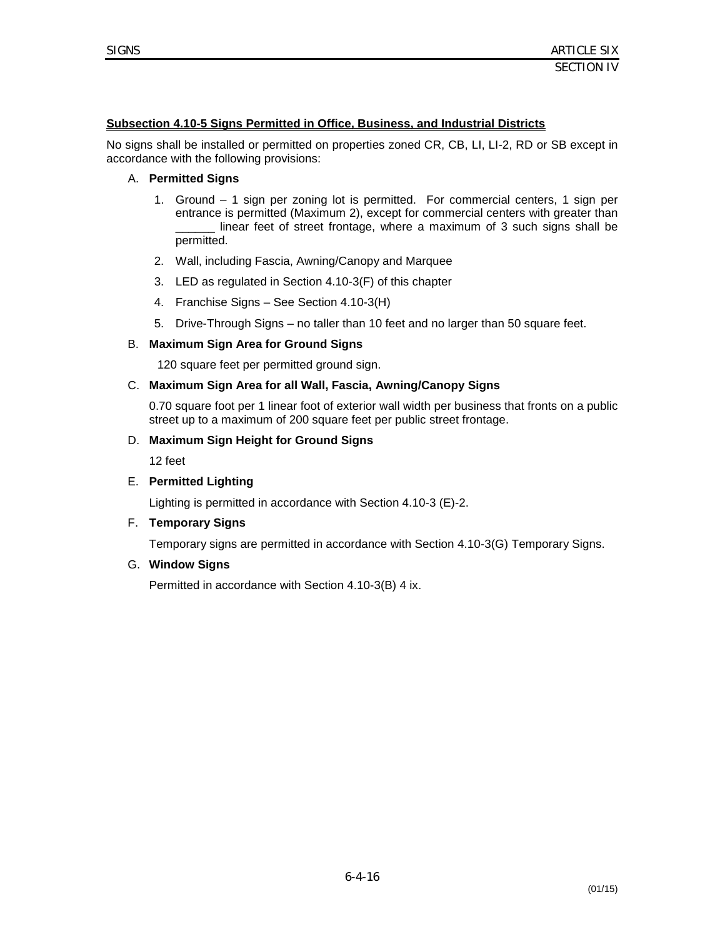#### **Subsection 4.10-5 Signs Permitted in Office, Business, and Industrial Districts**

No signs shall be installed or permitted on properties zoned CR, CB, LI, LI-2, RD or SB except in accordance with the following provisions:

#### A. **Permitted Signs**

- 1. Ground 1 sign per zoning lot is permitted. For commercial centers, 1 sign per entrance is permitted (Maximum 2), except for commercial centers with greater than linear feet of street frontage, where a maximum of 3 such signs shall be permitted.
- 2. Wall, including Fascia, Awning/Canopy and Marquee
- 3. LED as regulated in Section 4.10-3(F) of this chapter
- 4. Franchise Signs See Section 4.10-3(H)
- 5. Drive-Through Signs no taller than 10 feet and no larger than 50 square feet.

#### B. **Maximum Sign Area for Ground Signs**

120 square feet per permitted ground sign.

#### C. **Maximum Sign Area for all Wall, Fascia, Awning/Canopy Signs**

0.70 square foot per 1 linear foot of exterior wall width per business that fronts on a public street up to a maximum of 200 square feet per public street frontage.

#### D. **Maximum Sign Height for Ground Signs**

12 feet

#### E. **Permitted Lighting**

Lighting is permitted in accordance with Section 4.10-3 (E)-2.

#### F. **Temporary Signs**

Temporary signs are permitted in accordance with Section 4.10-3(G) Temporary Signs.

#### G. **Window Signs**

Permitted in accordance with Section 4.10-3(B) 4 ix.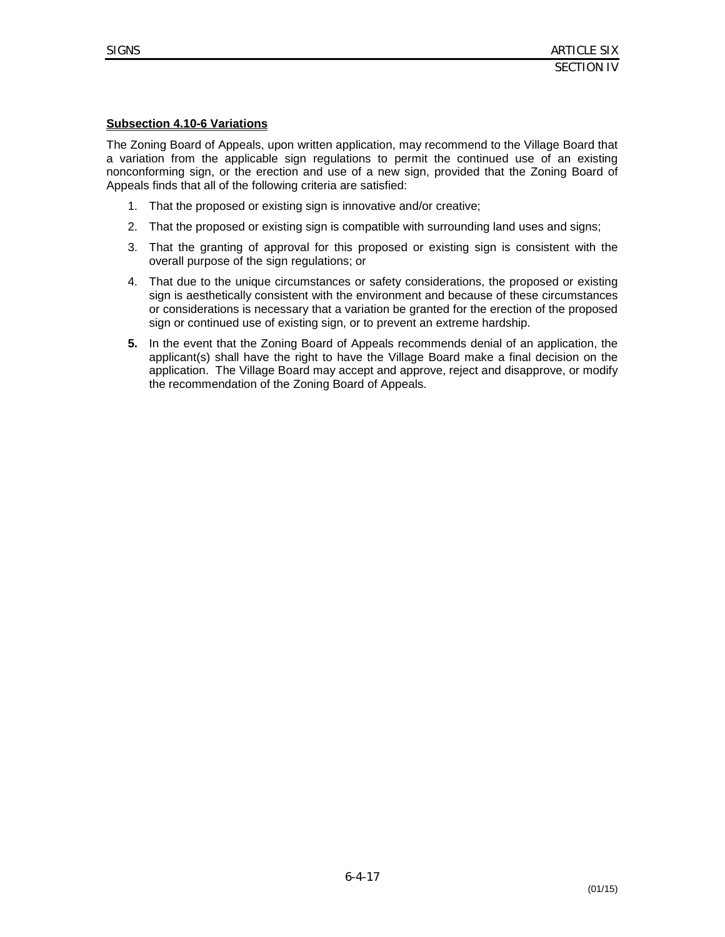# **Subsection 4.10-6 Variations**

The Zoning Board of Appeals, upon written application, may recommend to the Village Board that a variation from the applicable sign regulations to permit the continued use of an existing nonconforming sign, or the erection and use of a new sign, provided that the Zoning Board of Appeals finds that all of the following criteria are satisfied:

- 1. That the proposed or existing sign is innovative and/or creative;
- 2. That the proposed or existing sign is compatible with surrounding land uses and signs;
- 3. That the granting of approval for this proposed or existing sign is consistent with the overall purpose of the sign regulations; or
- 4. That due to the unique circumstances or safety considerations, the proposed or existing sign is aesthetically consistent with the environment and because of these circumstances or considerations is necessary that a variation be granted for the erection of the proposed sign or continued use of existing sign, or to prevent an extreme hardship.
- **5.** In the event that the Zoning Board of Appeals recommends denial of an application, the applicant(s) shall have the right to have the Village Board make a final decision on the application. The Village Board may accept and approve, reject and disapprove, or modify the recommendation of the Zoning Board of Appeals.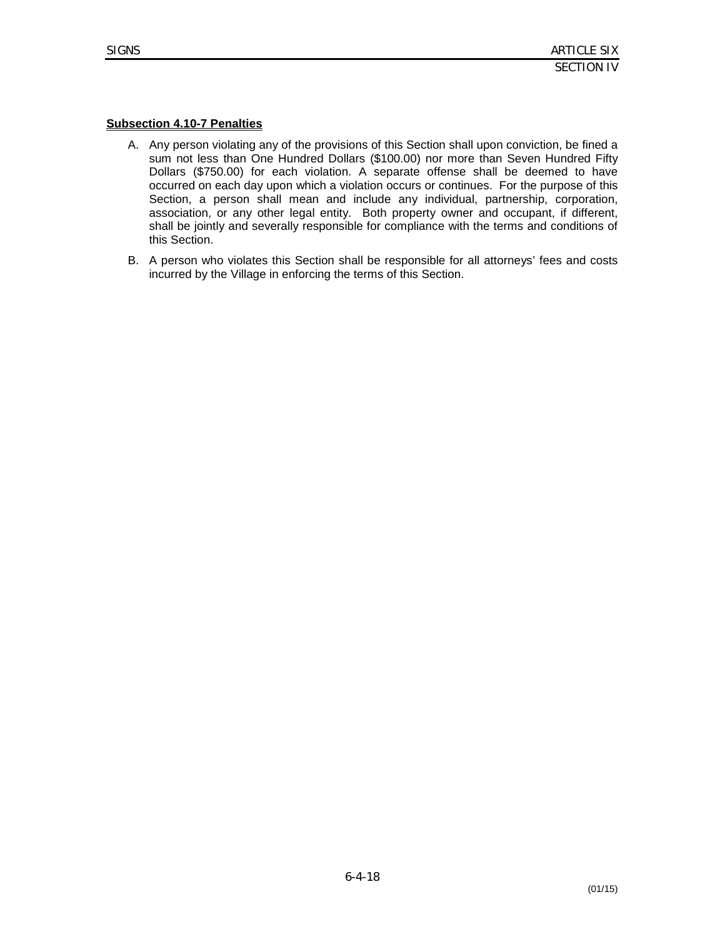# **Subsection 4.10-7 Penalties**

- A. Any person violating any of the provisions of this Section shall upon conviction, be fined a sum not less than One Hundred Dollars (\$100.00) nor more than Seven Hundred Fifty Dollars (\$750.00) for each violation. A separate offense shall be deemed to have occurred on each day upon which a violation occurs or continues. For the purpose of this Section, a person shall mean and include any individual, partnership, corporation, association, or any other legal entity. Both property owner and occupant, if different, shall be jointly and severally responsible for compliance with the terms and conditions of this Section.
- B. A person who violates this Section shall be responsible for all attorneys' fees and costs incurred by the Village in enforcing the terms of this Section.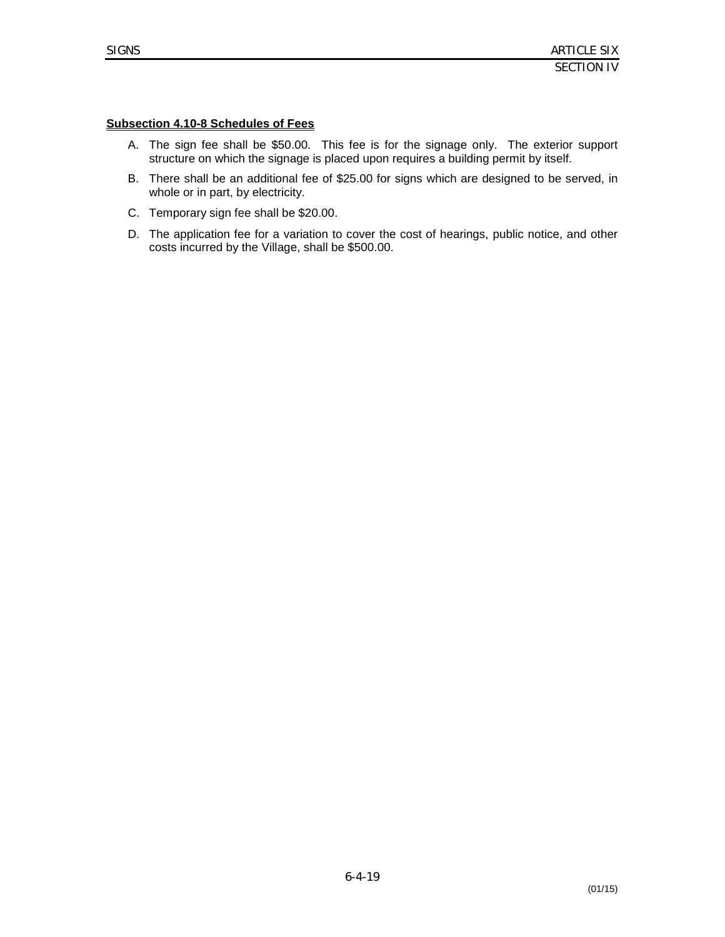# **Subsection 4.10-8 Schedules of Fees**

- A. The sign fee shall be \$50.00. This fee is for the signage only. The exterior support structure on which the signage is placed upon requires a building permit by itself.
- B. There shall be an additional fee of \$25.00 for signs which are designed to be served, in whole or in part, by electricity.
- C. Temporary sign fee shall be \$20.00.
- D. The application fee for a variation to cover the cost of hearings, public notice, and other costs incurred by the Village, shall be \$500.00.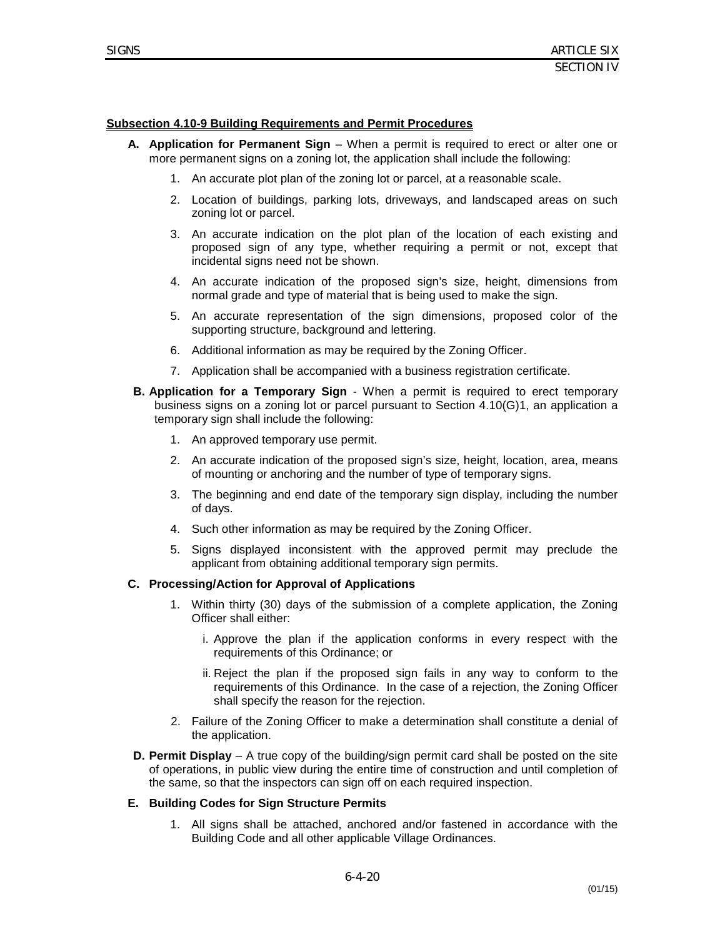SECTION IV

#### **Subsection 4.10-9 Building Requirements and Permit Procedures**

- **A. Application for Permanent Sign** When a permit is required to erect or alter one or more permanent signs on a zoning lot, the application shall include the following:
	- 1. An accurate plot plan of the zoning lot or parcel, at a reasonable scale.
	- 2. Location of buildings, parking lots, driveways, and landscaped areas on such zoning lot or parcel.
	- 3. An accurate indication on the plot plan of the location of each existing and proposed sign of any type, whether requiring a permit or not, except that incidental signs need not be shown.
	- 4. An accurate indication of the proposed sign's size, height, dimensions from normal grade and type of material that is being used to make the sign.
	- 5. An accurate representation of the sign dimensions, proposed color of the supporting structure, background and lettering.
	- 6. Additional information as may be required by the Zoning Officer.
	- 7. Application shall be accompanied with a business registration certificate.
- **B. Application for a Temporary Sign** When a permit is required to erect temporary business signs on a zoning lot or parcel pursuant to Section 4.10(G)1, an application a temporary sign shall include the following:
	- 1. An approved temporary use permit.
	- 2. An accurate indication of the proposed sign's size, height, location, area, means of mounting or anchoring and the number of type of temporary signs.
	- 3. The beginning and end date of the temporary sign display, including the number of days.
	- 4. Such other information as may be required by the Zoning Officer.
	- 5. Signs displayed inconsistent with the approved permit may preclude the applicant from obtaining additional temporary sign permits.

#### **C. Processing/Action for Approval of Applications**

- 1. Within thirty (30) days of the submission of a complete application, the Zoning Officer shall either:
	- i. Approve the plan if the application conforms in every respect with the requirements of this Ordinance; or
	- ii. Reject the plan if the proposed sign fails in any way to conform to the requirements of this Ordinance. In the case of a rejection, the Zoning Officer shall specify the reason for the rejection.
- 2. Failure of the Zoning Officer to make a determination shall constitute a denial of the application.
- **D. Permit Display** A true copy of the building/sign permit card shall be posted on the site of operations, in public view during the entire time of construction and until completion of the same, so that the inspectors can sign off on each required inspection.

#### **E. Building Codes for Sign Structure Permits**

1. All signs shall be attached, anchored and/or fastened in accordance with the Building Code and all other applicable Village Ordinances.